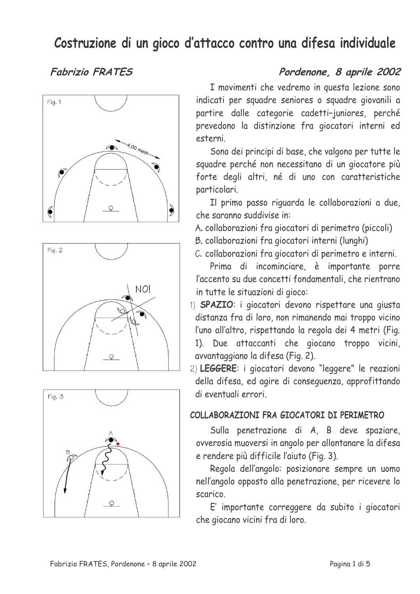# Costruzione di un gioco d'attacco contro una difesa individuale

## **Fabrizio FRATES**







## Pordenone, 8 aprile 2002

I movimenti che vedremo in questa lezione sono indicati per squadre seniores o squadre giovanili a partire dalle categorie cadetti-juniores, perché prevedono la distinzione fra giocatori interni ed esterni.

Sono dei principi di base, che valgono per tutte le squadre perché non necessitano di un giocatore più forte degli altri, né di uno con caratteristiche particolari.

Il primo passo riguarda le collaborazioni a due, che saranno suddivise in:

A. collaborazioni fra giocatori di perimetro (piccoli)

B. collaborazioni fra giocatori interni (lunghi)

C. collaborazioni fra giocatori di perimetro e interni.

Prima di incominciare. è importante porre l'accento su due concetti fondamentali, che rientrano in tutte le situazioni di gioco:

1) SPAZIO: i giocatori devono rispettare una giusta distanza fra di loro, non rimanendo mai troppo vicino l'uno all'altro, rispettando la regola dei 4 metri (Fig. 1). Due attaccanti che giocano troppo vicini, avvantaggiano la difesa (Fig. 2).

2) LEGGERE: i giocatori devono "leggere" le reazioni della difesa, ed agire di conseguenza, approfittando di eventuali errori

#### COLLABORAZIONI FRA GIOCATORI DI PERIMETRO

Sulla penetrazione di A, B deve spaziare, ovverosia muoversi in angolo per allontanare la difesa e rendere più difficile l'aiuto (Fig. 3).

Regola dell'angolo: posizionare sempre un uomo nell'angolo opposto alla penetrazione, per ricevere lo scarico.

E' importante correggere da subito i giocatori che giocano vicini fra di loro.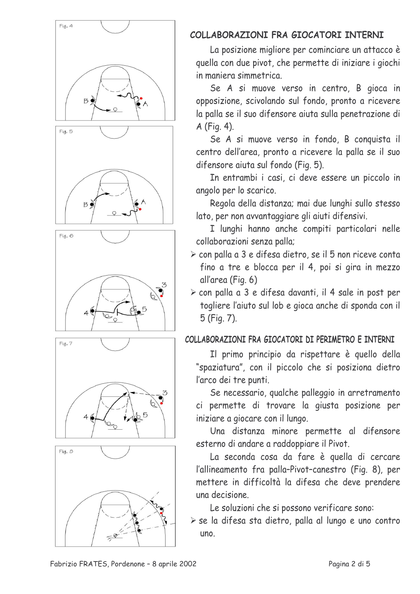







### COLLABORAZIONI FRA GIOCATORI INTERNI

La posizione migliore per cominciare un attacco è quella con due pivot, che permette di iniziare i giochi in maniera simmetrica.

Se A si muove verso in centro, B gioca in opposizione, scivolando sul fondo, pronto a ricevere la palla se il suo difensore aiuta sulla penetrazione di A (Fig. 4).

Se A si muove verso in fondo, B conquista il centro dell'area, pronto a ricevere la palla se il suo difensore aiuta sul fondo (Fig. 5).

In entrambi i casi, ci deve essere un piccolo in angolo per lo scarico.

Regola della distanza; mai due lunghi sullo stesso lato, per non avvantaggiare gli aiuti difensivi.

I lunghi hanno anche compiti particolari nelle collaborazioni senza palla;

- > con palla a 3 e difesa dietro, se il 5 non riceve conta fino a tre e blocca per il 4, poi si gira in mezzo all'area (Fig. 6)
- > con palla a 3 e difesa davanti, il 4 sale in post per togliere l'aiuto sul lob e gioca anche di sponda con il 5 (Fig. 7).

#### COLLABORAZIONI FRA GIOCATORI DI PERIMETRO E INTERNI

Il primo principio da rispettare è quello della "spaziatura", con il piccolo che si posiziona dietro l'arco dei tre punti.

Se necessario, qualche palleggio in arretramento ci permette di trovare la giusta posizione per iniziare a giocare con il lungo.

Una distanza minore permette al difensore esterno di andare a raddoppiare il Pivot.

La seconda cosa da fare è quella di cercare l'allineamento fra palla-Pivot-canestro (Fig. 8), per mettere in difficoltà la difesa che deve prendere una decisione

Le soluzioni che si possono verificare sono:

> se la difesa sta dietro, palla al lungo e uno contro uno.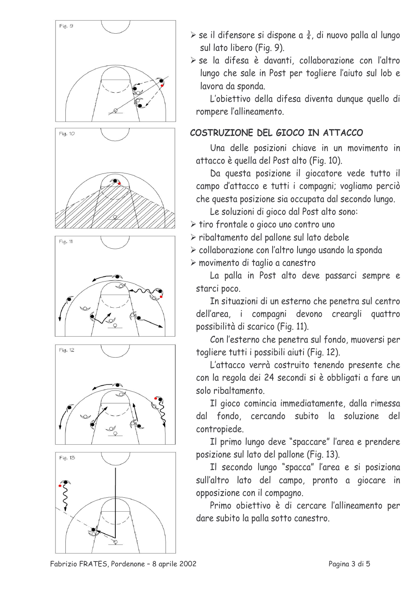

- $\triangleright$  se il difensore si dispone a  $\frac{3}{4}$ , di nuovo palla al lungo sul lato libero (Fig. 9).
- > se la difesa è davanti, collaborazione con l'altro lungo che sale in Post per togliere l'aiuto sul lob e lavora da sponda.

L'obiettivo della difesa diventa dunque quello di rompere l'allineamento.

#### COSTRUZIONE DEL GIOCO IN ATTACCO

Una delle posizioni chiave in un movimento in attacco è quella del Post alto (Fig. 10).

Da questa posizione il giocatore vede tutto il campo d'attacco e tutti i compagni; vogliamo perciò che questa posizione sia occupata dal secondo lungo.

Le soluzioni di gioco dal Post alto sono:

- If tiro frontale o gioco uno contro uno
- > ribaltamento del pallone sul lato debole
- > collaborazione con l'altro lungo usando la sponda
- > movimento di taglio a canestro

La palla in Post alto deve passarci sempre e starci poco.

In situazioni di un esterno che penetra sul centro dell'area, i compagni devono creargli quattro possibilità di scarico (Fig. 11).

Con l'esterno che penetra sul fondo, muoversi per togliere tutti i possibili aiuti (Fig. 12).

L'attacco verrà costruito tenendo presente che con la regola dei 24 secondi si è obbligati a fare un solo ribaltamento.

Il gioco comincia immediatamente, dalla rimessa dal fondo, cercando subito la soluzione del contropiede.

Il primo lungo deve "spaccare" l'area e prendere posizione sul lato del pallone (Fig. 13).

Il secondo lungo "spacca" l'area e si posiziona sull'altro lato del campo, pronto a giocare in opposizione con il compagno.

Primo obiettivo è di cercare l'allineamento per dare subito la palla sotto canestro.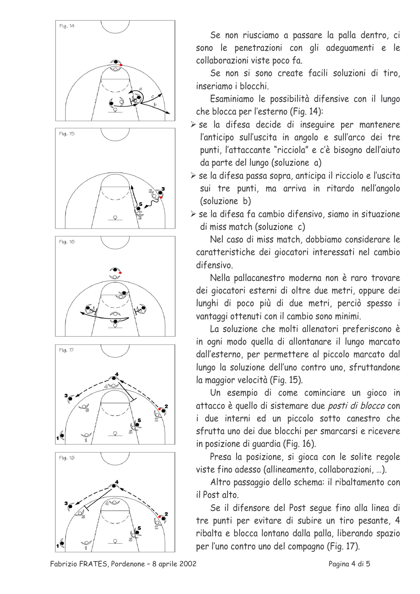









Se non riusciamo a passare la palla dentro, ci sono le penetrazioni con gli adequamenti e le collaborazioni viste poco fa.

Se non si sono create facili soluzioni di tiro. inseriamo i blocchi.

Esaminiamo le possibilità difensive con il lungo che blocca per l'esterno (Fig. 14):

- > se la difesa decide di inseguire per mantenere l'anticipo sull'uscita in angolo e sull'arco dei tre punti, l'attaccante "ricciola" e c'è bisogno dell'aiuto da parte del lungo (soluzione a)
- > se la difesa passa sopra, anticipa il ricciolo e l'uscita sui tre punti, ma arriva in ritardo nell'angolo (soluzione b)

I se la difesa fa cambio difensivo, siamo in situazione di miss match (soluzione c)

Nel caso di miss match, dobbiamo considerare le caratteristiche dei giocatori interessati nel cambio difensivo.

Nella pallacanestro moderna non è raro trovare dei giocatori esterni di oltre due metri, oppure dei lunghi di poco più di due metri, perciò spesso i vantaggi ottenuti con il cambio sono minimi.

La soluzione che molti allenatori preferiscono è in ogni modo quella di allontanare il lungo marcato dall'esterno, per permettere al piccolo marcato dal lungo la soluzione dell'uno contro uno, sfruttandone la maggior velocità (Fig. 15).

Un esempio di come cominciare un gioco in attacco è quello di sistemare due posti di blocco con i due interni ed un piccolo sotto canestro che sfrutta uno dei due blocchi per smarcarsi e ricevere in posizione di quardia (Fig. 16).

Presa la posizione, si gioca con le solite regole viste fino adesso (allineamento, collaborazioni, ...).

Altro passaggio dello schema: il ribaltamento con il Post alto

Se il difensore del Post seque fino alla linea di tre punti per evitare di subire un tiro pesante, 4 ribalta e blocca lontano dalla palla, liberando spazio per l'uno contro uno del compagno (Fig. 17).

Fabrizio FRATES, Pordenone - 8 aprile 2002